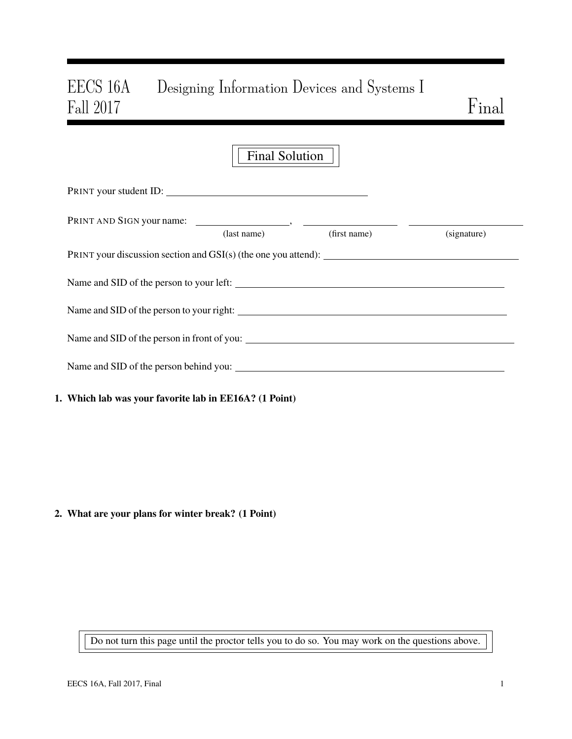# EECS 16A Designing Information Devices and Systems I Fall 2017 Final

|                                                                  | Final Solution |                          |             |
|------------------------------------------------------------------|----------------|--------------------------|-------------|
| PRINT your student ID:                                           |                |                          |             |
|                                                                  |                |                          |             |
|                                                                  |                | (last name) (first name) | (signature) |
| PRINT your discussion section and $GSI(s)$ (the one you attend): |                |                          |             |
| Name and SID of the person to your left:                         |                |                          |             |
|                                                                  |                |                          |             |
|                                                                  |                |                          |             |
| Name and SID of the person behind you:                           |                |                          |             |
|                                                                  |                |                          |             |

1. Which lab was your favorite lab in EE16A? (1 Point)

2. What are your plans for winter break? (1 Point)

Do not turn this page until the proctor tells you to do so. You may work on the questions above.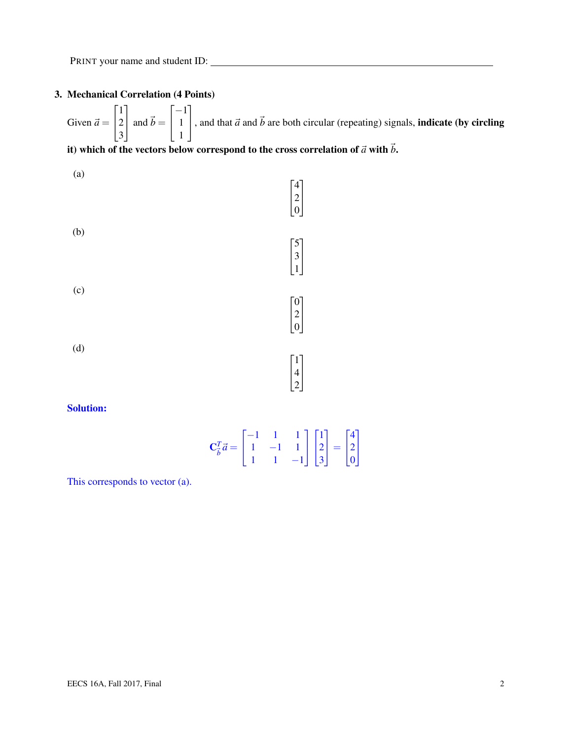# 3. Mechanical Correlation (4 Points)

Given  $\vec{a} =$  $\sqrt{ }$  $\overline{1}$ 1 2 3 1  $\int$  and  $\vec{b}$  =  $\sqrt{ }$  $\overline{1}$ −1 1 1 1 , and that  $\vec{a}$  and  $\vec{b}$  are both circular (repeating) signals, **indicate (by circling**)

# it) which of the vectors below correspond to the cross correlation of  $\vec{a}$  with  $\vec{b}$ .



## Solution:

| $\mathbf{C}_{\vec{b}}^T \vec{a} = \begin{bmatrix} -1 & 1 & 1 \\ 1 & -1 & 1 \\ 1 & 1 & -1 \end{bmatrix} \begin{bmatrix} 1 \\ 2 \\ 3 \end{bmatrix} = \begin{bmatrix} 4 \\ 2 \\ 0 \end{bmatrix}$ |  |  |  |  |
|-----------------------------------------------------------------------------------------------------------------------------------------------------------------------------------------------|--|--|--|--|

This corresponds to vector (a).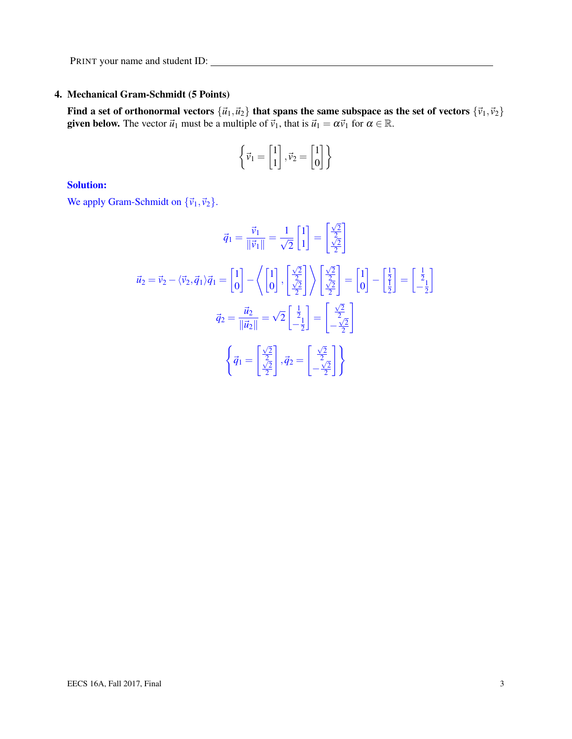# 4. Mechanical Gram-Schmidt (5 Points)

Find a set of orthonormal vectors  ${\vec{u}_1,\vec{u}_2}$  that spans the same subspace as the set of vectors  ${\vec{v}_1,\vec{v}_2}$ **given below.** The vector  $\vec{u}_1$  must be a multiple of  $\vec{v}_1$ , that is  $\vec{u}_1 = \alpha \vec{v}_1$  for  $\alpha \in \mathbb{R}$ .

$$
\left\{\vec{\nu}_1 = \begin{bmatrix}1\\1\end{bmatrix}, \vec{\nu}_2 = \begin{bmatrix}1\\0\end{bmatrix}\right\}
$$

## Solution:

We apply Gram-Schmidt on  ${\vec{v}_1, \vec{v}_2}$ .

$$
\vec{q}_1 = \frac{\vec{v}_1}{\|\vec{v}_1\|} = \frac{1}{\sqrt{2}} \begin{bmatrix} 1 \\ 1 \end{bmatrix} = \begin{bmatrix} \frac{\sqrt{2}}{2} \\ \frac{\sqrt{2}}{2} \end{bmatrix}
$$

$$
\vec{u}_2 = \vec{v}_2 - \langle \vec{v}_2, \vec{q}_1 \rangle \vec{q}_1 = \begin{bmatrix} 1 \\ 0 \end{bmatrix} - \left\langle \begin{bmatrix} 1 \\ 0 \end{bmatrix}, \begin{bmatrix} \frac{\sqrt{2}}{2} \\ \frac{\sqrt{2}}{2} \end{bmatrix} \right\rangle \begin{bmatrix} \frac{\sqrt{2}}{2} \\ \frac{\sqrt{2}}{2} \end{bmatrix} = \begin{bmatrix} 1 \\ 0 \end{bmatrix} - \begin{bmatrix} \frac{1}{2} \\ \frac{1}{2} \end{bmatrix} = \begin{bmatrix} \frac{1}{2} \\ -\frac{1}{2} \end{bmatrix}
$$

$$
\vec{q}_2 = \frac{\vec{u}_2}{\|\vec{u}_2\|} = \sqrt{2} \begin{bmatrix} \frac{1}{2} \\ -\frac{1}{2} \end{bmatrix} = \begin{bmatrix} \frac{\sqrt{2}}{2} \\ -\frac{\sqrt{2}}{2} \end{bmatrix}
$$

$$
\left\{ \vec{q}_1 = \begin{bmatrix} \frac{\sqrt{2}}{2} \\ \frac{\sqrt{2}}{2} \end{bmatrix}, \vec{q}_2 = \begin{bmatrix} \frac{\sqrt{2}}{2} \\ -\frac{\sqrt{2}}{2} \end{bmatrix} \right\}
$$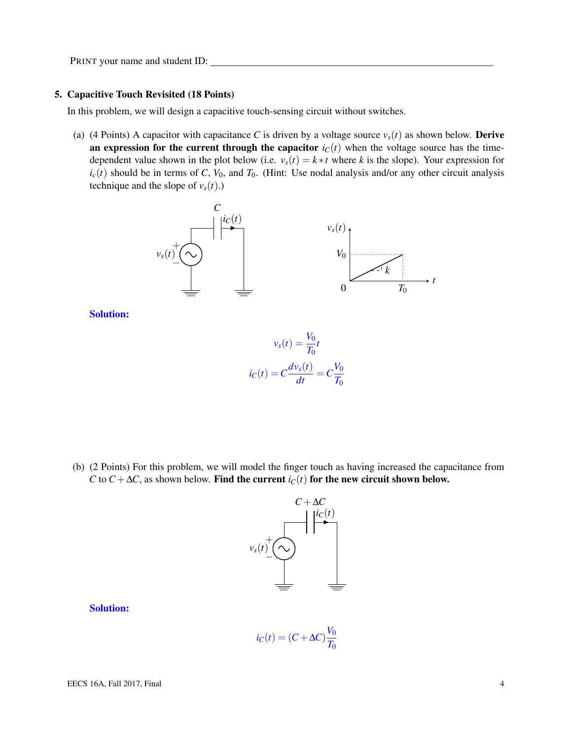#### 5. Capacitive Touch Revisited (18 Points)

In this problem, we will design a capacitive touch-sensing circuit without switches.

(a) (4 Points) A capacitor with capacitance *C* is driven by a voltage source  $v_s(t)$  as shown below. **Derive** an expression for the current through the capacitor  $i<sub>C</sub>(t)$  when the voltage source has the timedependent value shown in the plot below (i.e.  $v_s(t) = k * t$  where *k* is the slope). Your expression for  $i_c(t)$  should be in terms of *C*,  $V_0$ , and  $T_0$ . (Hint: Use nodal analysis and/or any other circuit analysis technique and the slope of  $v_s(t)$ .)



Solution:

$$
v_s(t) = \frac{V_0}{T_0}t
$$

$$
i_C(t) = C\frac{dv_s(t)}{dt} = C\frac{V_0}{T_0}
$$

(b) (2 Points) For this problem, we will model the finger touch as having increased the capacitance from *C* to *C* +  $\Delta$ *C*, as shown below. Find the current *i<sub>C</sub>*(*t*) for the new circuit shown below.



#### Solution:

$$
i_C(t) = (C + \Delta C) \frac{V_0}{T_0}
$$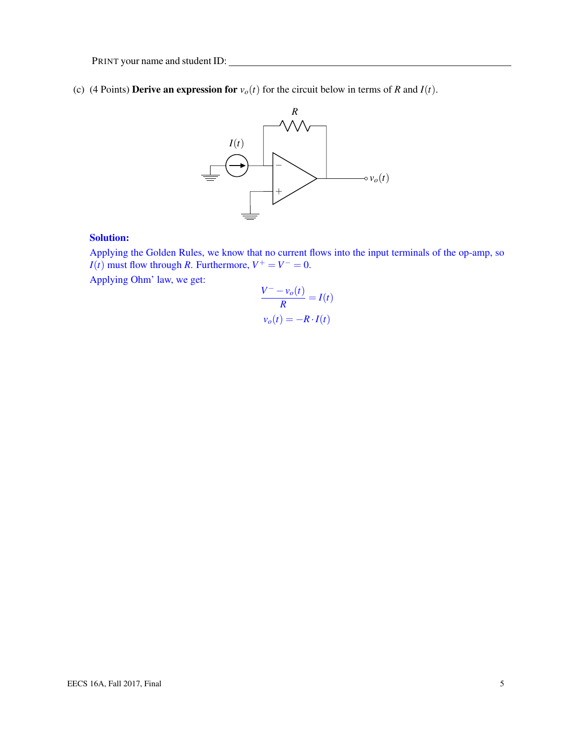(c) (4 Points) **Derive an expression for**  $v_o(t)$  for the circuit below in terms of *R* and *I*(*t*).



## Solution:

Applying the Golden Rules, we know that no current flows into the input terminals of the op-amp, so *I*(*t*) must flow through *R*. Furthermore,  $V^+ = V^- = 0$ .

Applying Ohm' law, we get:

$$
\frac{V^- - v_o(t)}{R} = I(t)
$$

$$
v_o(t) = -R \cdot I(t)
$$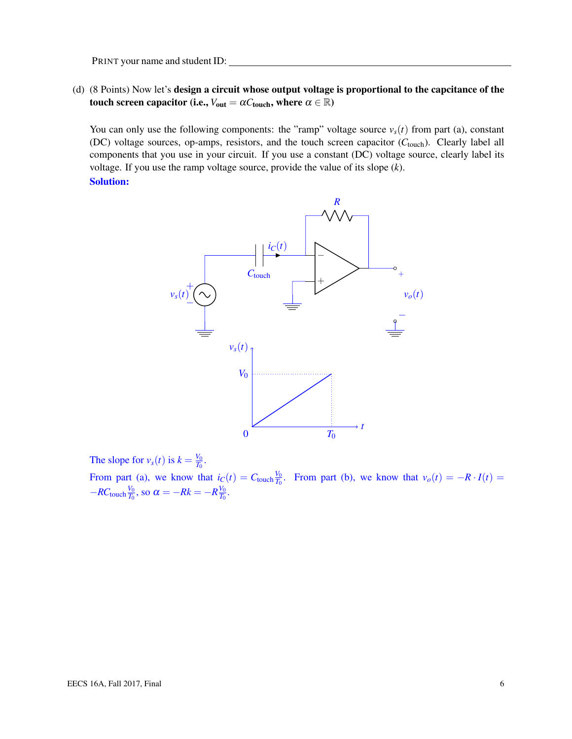(d) (8 Points) Now let's design a circuit whose output voltage is proportional to the capcitance of the touch screen capacitor (i.e.,  $V_{out} = \alpha C_{touch}$ , where  $\alpha \in \mathbb{R}$ )

You can only use the following components: the "ramp" voltage source  $v_s(t)$  from part (a), constant (DC) voltage sources, op-amps, resistors, and the touch screen capacitor (C<sub>touch</sub>). Clearly label all components that you use in your circuit. If you use a constant (DC) voltage source, clearly label its voltage. If you use the ramp voltage source, provide the value of its slope (*k*). Solution:



The slope for  $v_s(t)$  is  $k = \frac{V_0}{T_0}$  $\frac{V_0}{T_0}$ .

From part (a), we know that  $i_C(t) = C_{\text{touch}} \frac{V_0}{T_0}$ *T*<sub>0</sub>. From part (b), we know that  $v_o(t) = -R \cdot I(t)$  $-RC$ <sub>touch</sub> $\frac{V_0}{T_0}$  $\frac{V_0}{T_0}$ , so  $\alpha = -Rk = -R\frac{V_0}{T_0}$  $\frac{V_0}{T_0}$ .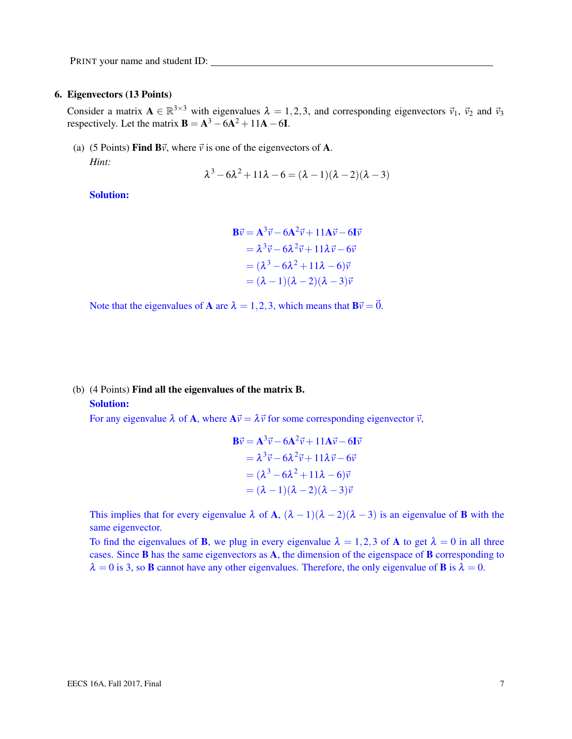#### 6. Eigenvectors (13 Points)

Consider a matrix  $A \in \mathbb{R}^{3 \times 3}$  with eigenvalues  $\lambda = 1, 2, 3$ , and corresponding eigenvectors  $\vec{v}_1$ ,  $\vec{v}_2$  and  $\vec{v}_3$ respectively. Let the matrix  $B = A^3 - 6A^2 + 11A - 6I$ .

(a) (5 Points) Find B $\vec{v}$ , where  $\vec{v}$  is one of the eigenvectors of A. *Hint:*

$$
\lambda^3 - 6\lambda^2 + 11\lambda - 6 = (\lambda - 1)(\lambda - 2)(\lambda - 3)
$$

Solution:

$$
\mathbf{B}\vec{v} = \mathbf{A}^3 \vec{v} - 6\mathbf{A}^2 \vec{v} + 11\mathbf{A}\vec{v} - 6\mathbf{I}\vec{v}
$$
  
=  $\lambda^3 \vec{v} - 6\lambda^2 \vec{v} + 11\lambda \vec{v} - 6\vec{v}$   
=  $(\lambda^3 - 6\lambda^2 + 11\lambda - 6)\vec{v}$   
=  $(\lambda - 1)(\lambda - 2)(\lambda - 3)\vec{v}$ 

Note that the eigenvalues of **A** are  $\lambda = 1, 2, 3$ , which means that  $B\vec{v} = \vec{0}$ .

# (b) (4 Points) Find all the eigenvalues of the matrix B. Solution:

For any eigenvalue  $\lambda$  of **A**, where  $A\vec{v} = \lambda \vec{v}$  for some corresponding eigenvector  $\vec{v}$ ,

$$
\mathbf{B}\vec{v} = \mathbf{A}^3 \vec{v} - 6\mathbf{A}^2 \vec{v} + 11\mathbf{A}\vec{v} - 6\mathbf{I}\vec{v}
$$
  
=  $\lambda^3 \vec{v} - 6\lambda^2 \vec{v} + 11\lambda \vec{v} - 6\vec{v}$   
=  $(\lambda^3 - 6\lambda^2 + 11\lambda - 6)\vec{v}$   
=  $(\lambda - 1)(\lambda - 2)(\lambda - 3)\vec{v}$ 

This implies that for every eigenvalue  $\lambda$  of A,  $(\lambda - 1)(\lambda - 2)(\lambda - 3)$  is an eigenvalue of **B** with the same eigenvector.

To find the eigenvalues of **B**, we plug in every eigenvalue  $\lambda = 1,2,3$  of **A** to get  $\lambda = 0$  in all three cases. Since B has the same eigenvectors as A, the dimension of the eigenspace of B corresponding to  $\lambda = 0$  is 3, so **B** cannot have any other eigenvalues. Therefore, the only eigenvalue of **B** is  $\lambda = 0$ .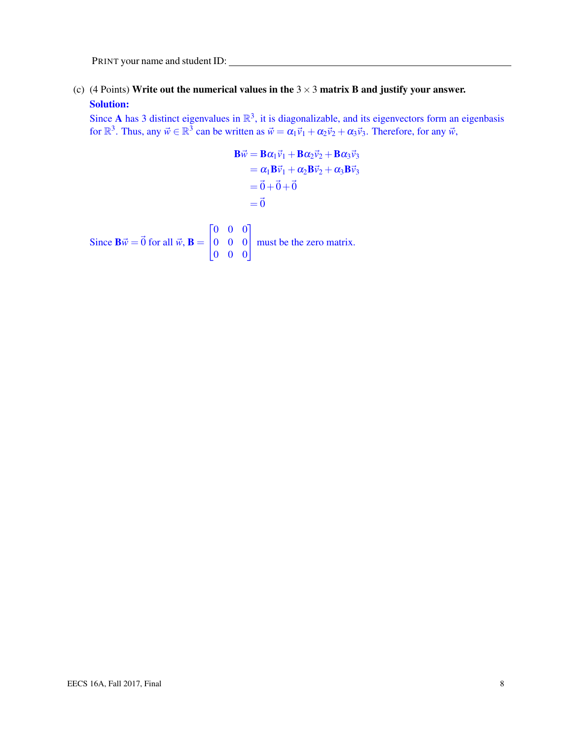(c) (4 Points) Write out the numerical values in the  $3 \times 3$  matrix B and justify your answer. Solution:

Since A has 3 distinct eigenvalues in  $\mathbb{R}^3$ , it is diagonalizable, and its eigenvectors form an eigenbasis for  $\mathbb{R}^3$ . Thus, any  $\vec{w} \in \mathbb{R}^3$  can be written as  $\vec{w} = \alpha_1 \vec{v}_1 + \alpha_2 \vec{v}_2 + \alpha_3 \vec{v}_3$ . Therefore, for any  $\vec{w}$ ,

$$
\mathbf{B}\vec{w} = \mathbf{B}\alpha_1\vec{v}_1 + \mathbf{B}\alpha_2\vec{v}_2 + \mathbf{B}\alpha_3\vec{v}_3
$$
  
\n
$$
= \alpha_1\mathbf{B}\vec{v}_1 + \alpha_2\mathbf{B}\vec{v}_2 + \alpha_3\mathbf{B}\vec{v}_3
$$
  
\n
$$
= \vec{0} + \vec{0} + \vec{0}
$$
  
\n
$$
= \vec{0}
$$
  
\nSince  $\mathbf{B}\vec{w} = \vec{0}$  for all  $\vec{w}$ ,  $\mathbf{B} = \begin{bmatrix} 0 & 0 & 0 \\ 0 & 0 & 0 \\ 0 & 0 & 0 \end{bmatrix}$  must be the zero matrix.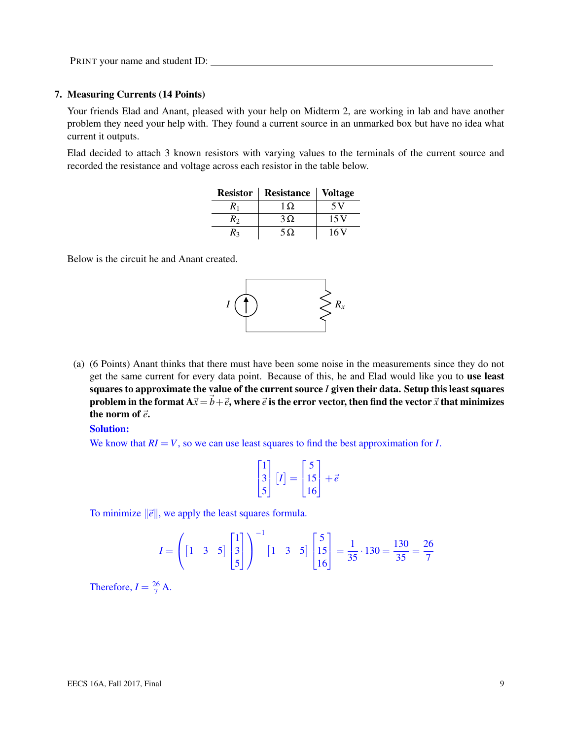#### 7. Measuring Currents (14 Points)

Your friends Elad and Anant, pleased with your help on Midterm 2, are working in lab and have another problem they need your help with. They found a current source in an unmarked box but have no idea what current it outputs.

Elad decided to attach 3 known resistors with varying values to the terminals of the current source and recorded the resistance and voltage across each resistor in the table below.

| <b>Resistor</b> | <b>Resistance</b> | <b>Voltage</b> |
|-----------------|-------------------|----------------|
| $R_1$           | $1 \Omega$        | 5 V            |
| R2              | $3\Omega$         | 15V            |
| R٩              | $5\Omega$         | 16 V           |

Below is the circuit he and Anant created.



(a) (6 Points) Anant thinks that there must have been some noise in the measurements since they do not get the same current for every data point. Because of this, he and Elad would like you to use least squares to approximate the value of the current source *I* given their data. Setup this least squares problem in the format  $A\vec{x} = \vec{b} + \vec{e}$ , where  $\vec{e}$  is the error vector, then find the vector  $\vec{x}$  that minimizes the norm of  $\vec{e}$ .

#### Solution:

We know that  $RI = V$ , so we can use least squares to find the best approximation for *I*.

$$
\begin{bmatrix} 1 \\ 3 \\ 5 \end{bmatrix} [I] = \begin{bmatrix} 5 \\ 15 \\ 16 \end{bmatrix} + \vec{e}
$$

To minimize  $\|\vec{e}\|$ , we apply the least squares formula.

$$
I = \left( \begin{bmatrix} 1 & 3 & 5 \end{bmatrix} \begin{bmatrix} 1 \\ 3 \\ 5 \end{bmatrix} \right)^{-1} \begin{bmatrix} 1 & 3 & 5 \end{bmatrix} \begin{bmatrix} 5 \\ 15 \\ 16 \end{bmatrix} = \frac{1}{35} \cdot 130 = \frac{130}{35} = \frac{26}{7}
$$

Therefore,  $I = \frac{26}{7} A$ .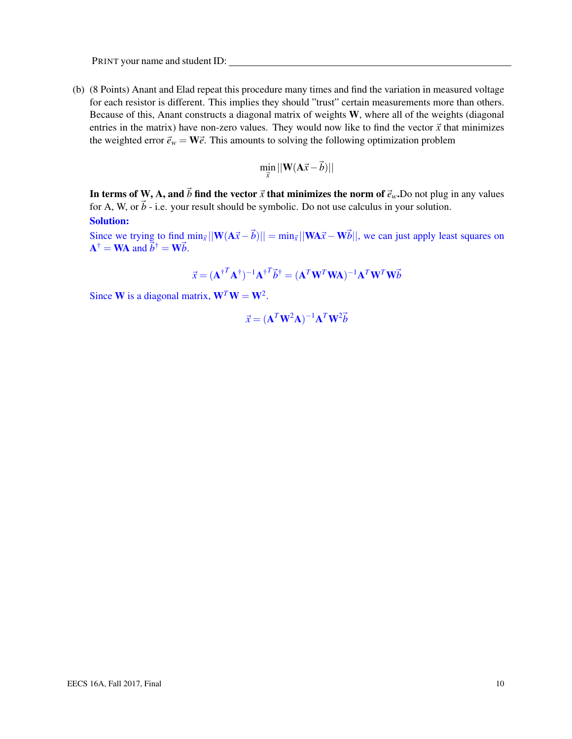(b) (8 Points) Anant and Elad repeat this procedure many times and find the variation in measured voltage for each resistor is different. This implies they should "trust" certain measurements more than others. Because of this, Anant constructs a diagonal matrix of weights W, where all of the weights (diagonal entries in the matrix) have non-zero values. They would now like to find the vector  $\vec{x}$  that minimizes the weighted error  $\vec{e}_w = \mathbf{W}\vec{e}$ . This amounts to solving the following optimization problem

$$
\min_{\vec{x}}||\mathbf{W}(\mathbf{A}\vec{x}-\vec{b})||
$$

In terms of W, A, and  $\vec{b}$  find the vector  $\vec{x}$  that minimizes the norm of  $\vec{e}_w$ . Do not plug in any values for A, W, or  $\vec{b}$  - i.e. your result should be symbolic. Do not use calculus in your solution. Solution:

Since we trying to find  $\min_{\vec{x}} ||W(A\vec{x} - \vec{b})|| = \min_{\vec{x}} ||WA\vec{x} - W\vec{b}||$ , we can just apply least squares on  $\mathbf{A}^{\dagger} = \mathbf{W} \mathbf{A}$  and  $\vec{b}^{\dagger} = \mathbf{W} \vec{b}$ .

$$
\vec{x} = (\mathbf{A}^{\dagger T} \mathbf{A}^{\dagger})^{-1} \mathbf{A}^{\dagger T} \vec{b}^{\dagger} = (\mathbf{A}^T \mathbf{W}^T \mathbf{W} \mathbf{A})^{-1} \mathbf{A}^T \mathbf{W}^T \mathbf{W} \vec{b}
$$

Since **W** is a diagonal matrix,  $W^T W = W^2$ .

$$
\vec{x} = (\mathbf{A}^T \mathbf{W}^2 \mathbf{A})^{-1} \mathbf{A}^T \mathbf{W}^2 \vec{b}
$$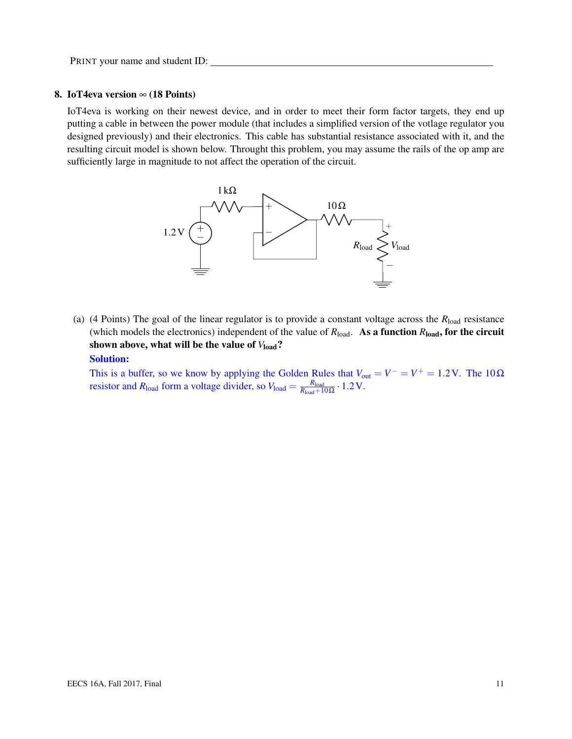#### 8. IoT4eva version  $\infty$  (18 Points)

IoT4eva is working on their newest device, and in order to meet their form factor targets, they end up putting a cable in between the power module (that includes a simplified version of the votlage regulator you designed previously) and their electronics. This cable has substantial resistance associated with it, and the resulting circuit model is shown below. Throught this problem, you may assume the rails of the op amp are sufficiently large in magnitude to not affect the operation of the circuit.



(a) (4 Points) The goal of the linear regulator is to provide a constant voltage across the *R*load resistance (which models the electronics) independent of the value of  $R_{load}$ . As a function  $R_{load}$ , for the circuit shown above, what will be the value of  $V_{load}$ ?

# Solution:

This is a buffer, so we know by applying the Golden Rules that  $V_{\text{out}} = V^- = V^+ = 1.2 \text{ V}$ . The  $10 \Omega$ resistor and  $R_{\text{load}}$  form a voltage divider, so  $V_{\text{load}} = \frac{R_{\text{load}}}{R_{\text{load}} + 1}$  $\frac{R_{\rm load}}{R_{\rm load}+10\,\Omega} \cdot 1.2\,\rm V.$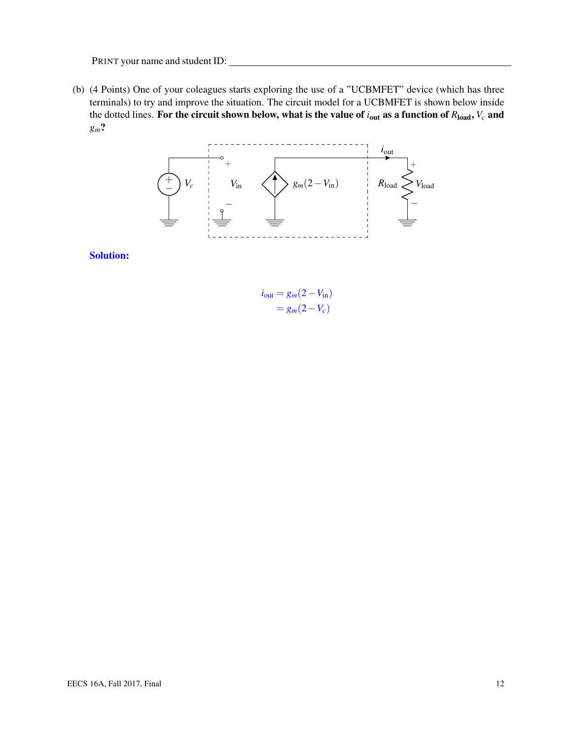(b) (4 Points) One of your coleagues starts exploring the use of a "UCBMFET" device (which has three terminals) to try and improve the situation. The circuit model for a UCBMFET is shown below inside the dotted lines. For the circuit shown below, what is the value of *i*out as a function of *R*load, *V<sup>c</sup>* and *gm*?



Solution:

$$
i_{\text{out}} = g_m(2 - V_{\text{in}})
$$

$$
= g_m(2 - V_c)
$$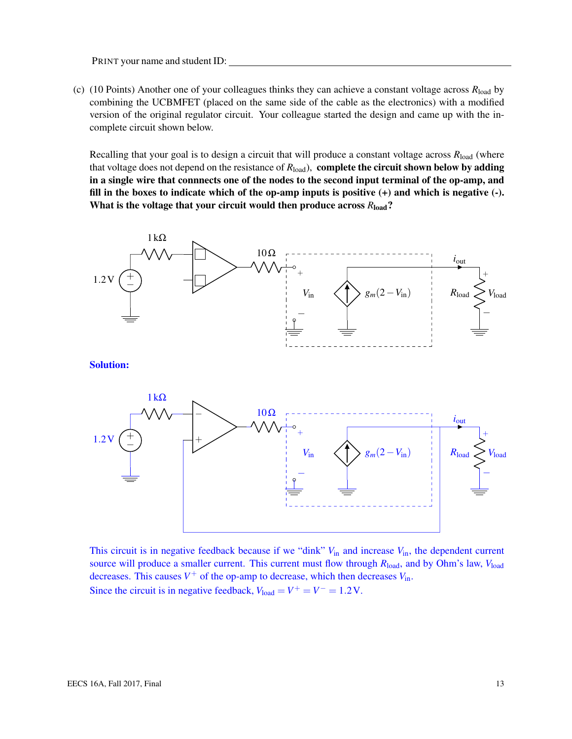(c) (10 Points) Another one of your colleagues thinks they can achieve a constant voltage across *R*load by combining the UCBMFET (placed on the same side of the cable as the electronics) with a modified version of the original regulator circuit. Your colleague started the design and came up with the incomplete circuit shown below.

Recalling that your goal is to design a circuit that will produce a constant voltage across *R*load (where that voltage does not depend on the resistance of *R*load), complete the circuit shown below by adding in a single wire that connnects one of the nodes to the second input terminal of the op-amp, and fill in the boxes to indicate which of the op-amp inputs is positive  $(+)$  and which is negative  $(-)$ . What is the voltage that your circuit would then produce across  $R_{load}$ ?



This circuit is in negative feedback because if we "dink"  $V_{in}$  and increase  $V_{in}$ , the dependent current source will produce a smaller current. This current must flow through  $R_{load}$ , and by Ohm's law,  $V_{load}$ decreases. This causes  $V^+$  of the op-amp to decrease, which then decreases  $V_{\text{in}}$ . Since the circuit is in negative feedback,  $V_{load} = V^+ = V^- = 1.2 V$ .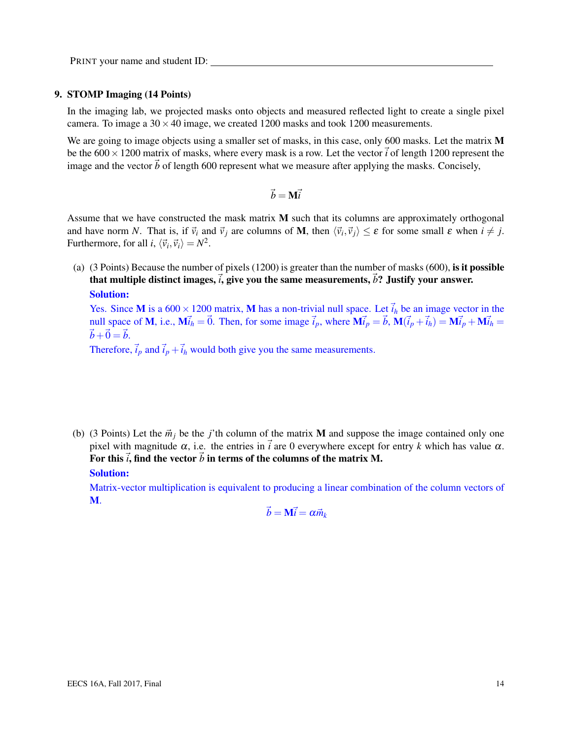#### 9. STOMP Imaging (14 Points)

In the imaging lab, we projected masks onto objects and measured reflected light to create a single pixel camera. To image a  $30 \times 40$  image, we created 1200 masks and took 1200 measurements.

We are going to image objects using a smaller set of masks, in this case, only 600 masks. Let the matrix M be the  $600 \times 1200$  matrix of masks, where every mask is a row. Let the vector  $\vec{i}$  of length 1200 represent the image and the vector  $\vec{b}$  of length 600 represent what we measure after applying the masks. Concisely,

$$
\vec{b} = \mathbf{M}\vec{i}
$$

Assume that we have constructed the mask matrix  $M$  such that its columns are approximately orthogonal and have norm *N*. That is, if  $\vec{v}_i$  and  $\vec{v}_j$  are columns of **M**, then  $\langle \vec{v}_i, \vec{v}_j \rangle \le \varepsilon$  for some small  $\varepsilon$  when  $i \ne j$ . Furthermore, for all *i*,  $\langle \vec{v}_i, \vec{v}_i \rangle = N^2$ .

(a) (3 Points) Because the number of pixels (1200) is greater than the number of masks (600), is it possible that multiple distinct images,  $\vec{i}$ , give you the same measurements,  $\vec{b}$ ? Justify your answer. Solution:

Yes. Since M is a  $600 \times 1200$  matrix, M has a non-trivial null space. Let  $\vec{i}_h$  be an image vector in the null space of **M**, i.e.,  $\mathbf{M} \vec{i}_h = \vec{0}$ . Then, for some image  $\vec{i}_p$ , where  $\mathbf{M} \vec{i}_p = \vec{b}$ ,  $\mathbf{M}(\vec{i}_p + \vec{i}_h) = \mathbf{M} \vec{i}_p + \mathbf{M} \vec{i}_h =$  $\vec{b}+\vec{0}=\vec{b}.$ 

Therefore,  $\vec{i}_p$  and  $\vec{i}_p + \vec{i}_h$  would both give you the same measurements.

(b) (3 Points) Let the  $\vec{m}_j$  be the *j*'th column of the matrix **M** and suppose the image contained only one pixel with magnitude  $\alpha$ , i.e. the entries in  $\vec{i}$  are 0 everywhere except for entry *k* which has value  $\alpha$ . For this  $\vec{i}$ , find the vector  $\vec{b}$  in terms of the columns of the matrix M.

# Solution:

Matrix-vector multiplication is equivalent to producing a linear combination of the column vectors of M.

 $\vec{b} = \mathbf{M} \vec{i} = \alpha \vec{m}_k$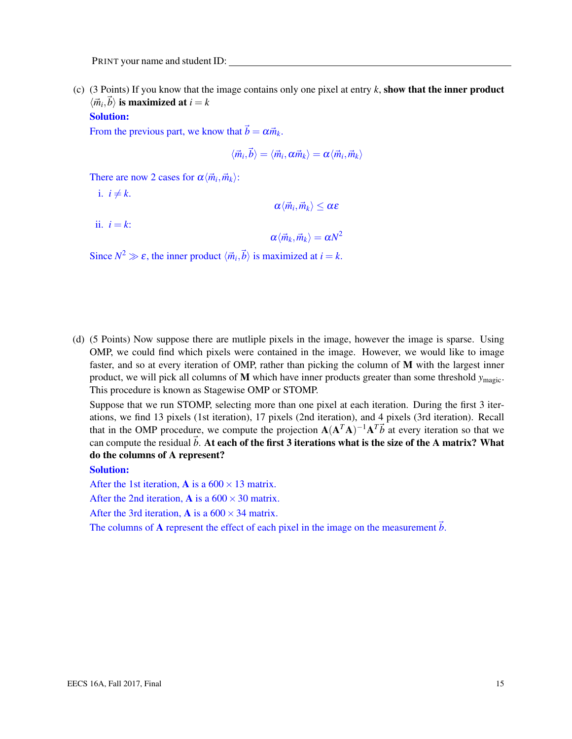(c) (3 Points) If you know that the image contains only one pixel at entry  $k$ , show that the inner product  $\langle \vec{m}_i, \vec{b} \rangle$  is maximized at  $i = k$ 

#### Solution:

From the previous part, we know that  $\vec{b} = \alpha \vec{m}_k$ .

$$
\langle \vec{m}_i,\vec{b}\rangle=\langle \vec{m}_i,\alpha\vec{m}_k\rangle=\alpha\langle \vec{m}_i,\vec{m}_k\rangle
$$

There are now 2 cases for  $\alpha \langle \vec{m}_i, \vec{m}_k \rangle$ :

i.  $i \neq k$ .

 $\langle \vec{m}_i, \vec{m}_k \rangle \leq \alpha \varepsilon$ 

ii.  $i = k$ :

 $\langle \vec{m}_k, \vec{m}_k \rangle = \alpha N^2$ 

Since  $N^2 \gg \varepsilon$ , the inner product  $\langle \vec{m}_i, \vec{b} \rangle$  is maximized at  $i = k$ .

(d) (5 Points) Now suppose there are mutliple pixels in the image, however the image is sparse. Using OMP, we could find which pixels were contained in the image. However, we would like to image faster, and so at every iteration of OMP, rather than picking the column of M with the largest inner product, we will pick all columns of M which have inner products greater than some threshold *y*magic. This procedure is known as Stagewise OMP or STOMP.

Suppose that we run STOMP, selecting more than one pixel at each iteration. During the first 3 iterations, we find 13 pixels (1st iteration), 17 pixels (2nd iteration), and 4 pixels (3rd iteration). Recall that in the OMP procedure, we compute the projection  $A(A^T A)^{-1} A^T \vec{b}$  at every iteration so that we can compute the residual  $\vec{b}$ . At each of the first 3 iterations what is the size of the A matrix? What do the columns of A represent?

#### Solution:

After the 1st iteration, **A** is a  $600 \times 13$  matrix.

After the 2nd iteration, **A** is a  $600 \times 30$  matrix.

After the 3rd iteration, **A** is a  $600 \times 34$  matrix.

The columns of **A** represent the effect of each pixel in the image on the measurement *b*.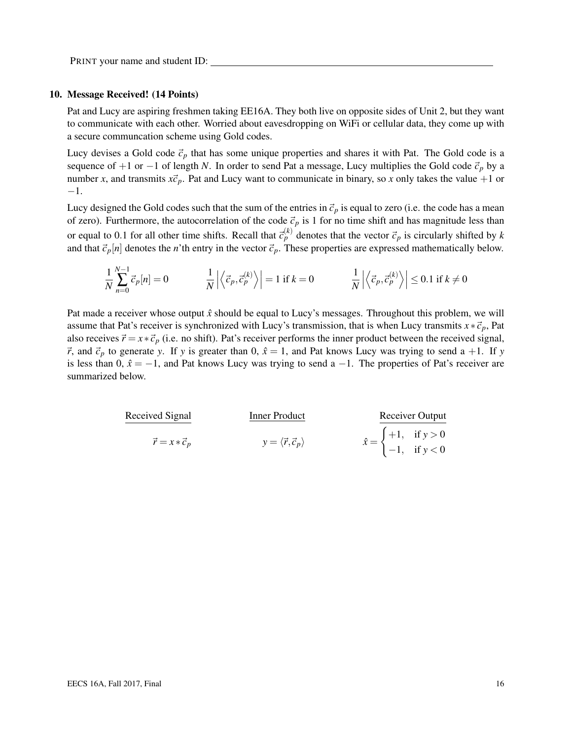#### 10. Message Received! (14 Points)

Pat and Lucy are aspiring freshmen taking EE16A. They both live on opposite sides of Unit 2, but they want to communicate with each other. Worried about eavesdropping on WiFi or cellular data, they come up with a secure communcation scheme using Gold codes.

Lucy devises a Gold code  $\vec{c}_p$  that has some unique properties and shares it with Pat. The Gold code is a sequence of +1 or −1 of length *N*. In order to send Pat a message, Lucy multiplies the Gold code  $\vec{c}_p$  by a number *x*, and transmits  $x\vec{c}_p$ . Pat and Lucy want to communicate in binary, so *x* only takes the value +1 or −1.

Lucy designed the Gold codes such that the sum of the entries in  $\vec{c}_p$  is equal to zero (i.e. the code has a mean of zero). Furthermore, the autocorrelation of the code  $\vec{c}_p$  is 1 for no time shift and has magnitude less than or equal to 0.1 for all other time shifts. Recall that  $\vec{c}_p^{(k)}$  denotes that the vector  $\vec{c}_p$  is circularly shifted by *k* and that  $\vec{c}_p[n]$  denotes the *n*'th entry in the vector  $\vec{c}_p$ . These properties are expressed mathematically below.

$$
\frac{1}{N} \sum_{n=0}^{N-1} \vec{c}_p[n] = 0 \qquad \qquad \frac{1}{N} \left| \left\langle \vec{c}_p, \vec{c}_p^{(k)} \right\rangle \right| = 1 \text{ if } k = 0 \qquad \qquad \frac{1}{N} \left| \left\langle \vec{c}_p, \vec{c}_p^{(k)} \right\rangle \right| \le 0.1 \text{ if } k \ne 0
$$

Pat made a receiver whose output  $\hat{x}$  should be equal to Lucy's messages. Throughout this problem, we will assume that Pat's receiver is synchronized with Lucy's transmission, that is when Lucy transmits  $x * \vec{c}_p$ , Pat also receives  $\vec{r} = x * \vec{c}_p$  (i.e. no shift). Pat's receiver performs the inner product between the received signal,  $\vec{r}$ , and  $\vec{c}_p$  to generate *y*. If *y* is greater than 0,  $\hat{x} = 1$ , and Pat knows Lucy was trying to send a +1. If *y* is less than 0,  $\hat{x} = -1$ , and Pat knows Lucy was trying to send a −1. The properties of Pat's receiver are summarized below.

| Received Signal           | Inner Product                            | Receiver Output                                                                        |
|---------------------------|------------------------------------------|----------------------------------------------------------------------------------------|
| $\vec{r} = x * \vec{c}_p$ | $y = \langle \vec{r}, \vec{c}_p \rangle$ | $\hat{x} = \begin{cases} +1, & \text{if } y > 0 \\ -1, & \text{if } y < 0 \end{cases}$ |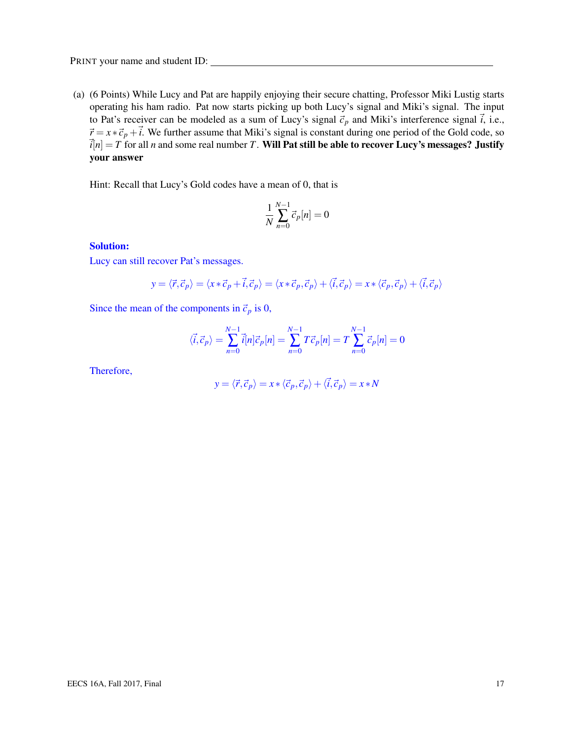(a) (6 Points) While Lucy and Pat are happily enjoying their secure chatting, Professor Miki Lustig starts operating his ham radio. Pat now starts picking up both Lucy's signal and Miki's signal. The input to Pat's receiver can be modeled as a sum of Lucy's signal  $\vec{c}_p$  and Miki's interference signal  $\vec{i}$ , i.e.,  $\vec{r} = x * \vec{c}_p + \vec{i}$ . We further assume that Miki's signal is constant during one period of the Gold code, so  $\vec{i}[n] = T$  for all *n* and some real number *T*. Will Pat still be able to recover Lucy's messages? Justify your answer

Hint: Recall that Lucy's Gold codes have a mean of 0, that is

$$
\frac{1}{N}\sum_{n=0}^{N-1}\vec{c}_p[n] = 0
$$

### Solution:

Lucy can still recover Pat's messages.

$$
y = \langle \vec{r}, \vec{c}_p \rangle = \langle x * \vec{c}_p + \vec{i}, \vec{c}_p \rangle = \langle x * \vec{c}_p, \vec{c}_p \rangle + \langle \vec{i}, \vec{c}_p \rangle = x * \langle \vec{c}_p, \vec{c}_p \rangle + \langle \vec{i}, \vec{c}_p \rangle
$$

Since the mean of the components in  $\vec{c}_p$  is 0,

$$
\langle \vec{i}, \vec{c}_p \rangle = \sum_{n=0}^{N-1} \vec{i}[n] \vec{c}_p[n] = \sum_{n=0}^{N-1} T \vec{c}_p[n] = T \sum_{n=0}^{N-1} \vec{c}_p[n] = 0
$$

Therefore,

$$
y = \langle \vec{r}, \vec{c}_p \rangle = x * \langle \vec{c}_p, \vec{c}_p \rangle + \langle \vec{i}, \vec{c}_p \rangle = x * N
$$